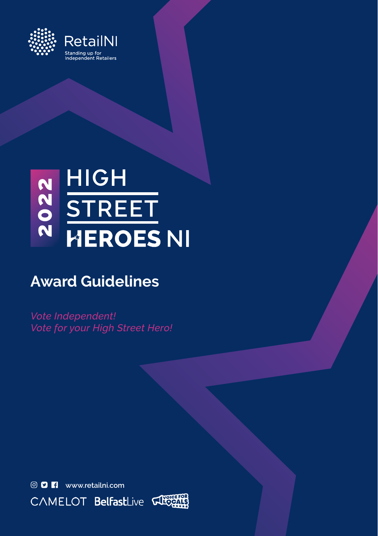

# N HIGH<br>ON STREET<br>N HEROES NI

# **Award Guidelines**

*Vote Independent! Vote for your High Street Hero!*



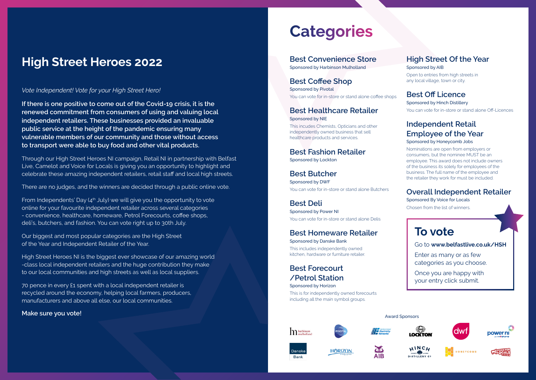# **High Street Heroes 2022**

#### *Vote Independent! Vote for your High Street Hero!*

**If there is one positive to come out of the Covid-19 crisis, it is the renewed commitment from consumers of using and valuing local independent retailers. These businesses provided an invaluable public service at the height of the pandemic ensuring many vulnerable members of our community and those without access to transport were able to buy food and other vital products.**

Through our High Street Heroes NI campaign, Retail NI in partnership with Belfast Live, Camelot and Voice for Locals is giving you an opportunity to highlight and celebrate these amazing independent retailers, retail staff and local high streets.

There are no judges, and the winners are decided through a public online vote.

From Independents' Day  $(4<sup>th</sup>$  July) we will give you the opportunity to vote online for your favourite independent retailer across several categories - convenience, healthcare, homeware, Petrol Forecourts, coffee shops, deli's, butchers, and fashion. You can vote right up to 30th July.

Our biggest and most popular categories are the High Street of the Year and Independent Retailer of the Year.

High Street Heroes NI is the biggest ever showcase of our amazing world -class local independent retailers and the huge contribution they make to our local communities and high streets as well as local suppliers.

70 pence in every £1 spent with a local independent retailer is recycled around the economy, helping local farmers, producers, manufacturers and above all else, our local communities.

#### **Make sure you vote!** Award Sponsors and the surface of the surface of the surface of the surface of the surface of the surface of the surface of the surface of the surface of the surface of the surface of the surface of t

# **Categories**

**Best Convenience Store** Sponsored by Harbinson Mulholland

**Best Coffee Shop**  Sponsored by Pivotal You can vote for in-store or stand alone coffee shops

#### **Best Healthcare Retailer**  Sponsored by NIE

This incudes Chemists, Opticians and other independently owned business that sell healthcare products and services.

**Best Fashion Retailer**  Sponsored by Lockton

**Best Butcher** Sponsored by DWF You can vote for in-store or stand alone Butchers

**Best Deli** Sponsored by Power NI You can vote for in-store or stand alone Delis

#### **Best Homeware Retailer**  Sponsored by Danske Bank

This includes independently owned kitchen, hardware or furniture retailer.

**Best Forecourt /Petrol Station** Sponsored by Horizon

This is for independently owned forecourts including all the main symbol groups.

#### **High Street Of the Year** Sponsored by AIB

Open to entries from high streets in any local village, town or city.

#### **Best Off Licence**

Sponsored by Hinch Distillery You can vote for in-store or stand alone Off-Licences

#### **Independent Retail Employee of the Year**  Sponsored by Honeycomb Jobs

Nominations are open from employers or consumers, but the nominee MUST be an employee. This award does not include owners of the business its solely for employees of the business. The full name of the employee and the retailer they work for must be included.

#### **Overall Independent Retailer**

Sponsored By Voice for Locals Chosen from the list of winners.

## **To vote**

Go to **www.belfastlive.co.uk/HSH**

Enter as many or as few categories as you choose.

Once you are happy with your entry click submit.

 $\ln$  harbinson





**ABS** 

**AIR** 















**HORIZON**